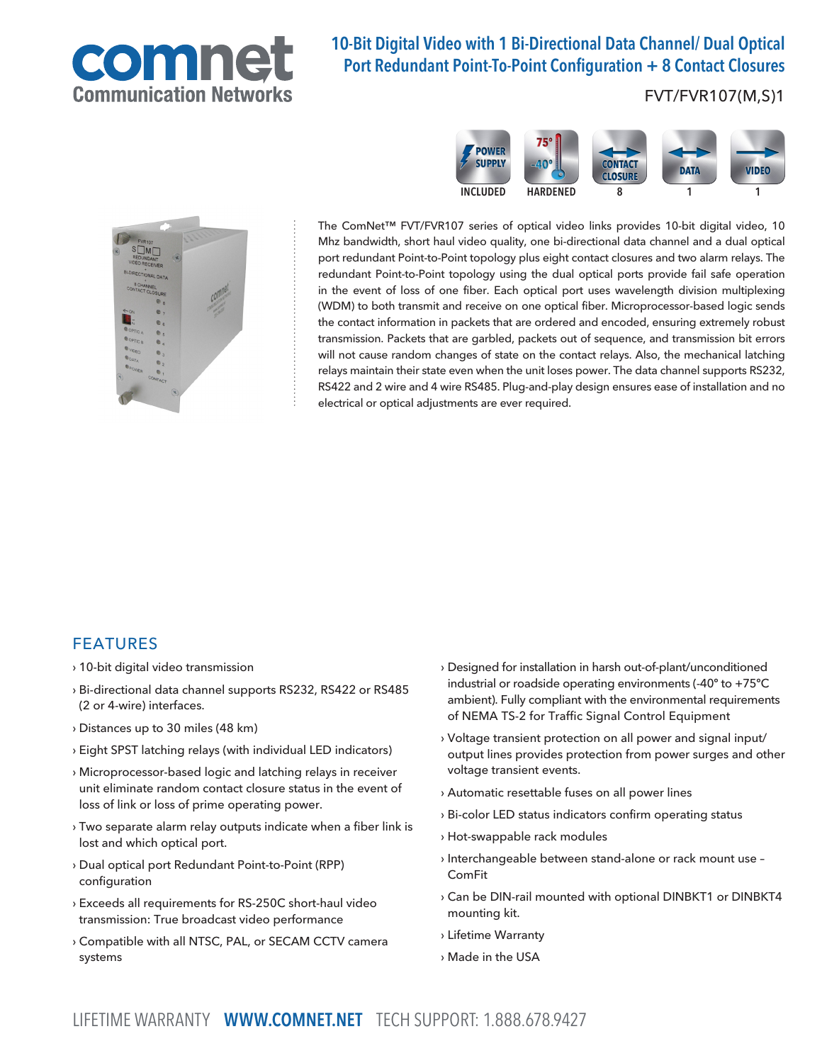

# 10-Bit Digital Video with 1 Bi-Directional Data Channel/ Dual Optical Port Redundant Point-To-Point Configuration + 8 Contact Closures

### FVT/FVR107(M,S)1





The ComNet™ FVT/FVR107 series of optical video links provides 10-bit digital video, 10 Mhz bandwidth, short haul video quality, one bi-directional data channel and a dual optical port redundant Point-to-Point topology plus eight contact closures and two alarm relays. The redundant Point-to-Point topology using the dual optical ports provide fail safe operation in the event of loss of one fiber. Each optical port uses wavelength division multiplexing (WDM) to both transmit and receive on one optical fiber. Microprocessor-based logic sends the contact information in packets that are ordered and encoded, ensuring extremely robust transmission. Packets that are garbled, packets out of sequence, and transmission bit errors will not cause random changes of state on the contact relays. Also, the mechanical latching relays maintain their state even when the unit loses power. The data channel supports RS232, RS422 and 2 wire and 4 wire RS485. Plug-and-play design ensures ease of installation and no electrical or optical adjustments are ever required.

#### FEATURES

- › 10-bit digital video transmission
- › Bi-directional data channel supports RS232, RS422 or RS485 (2 or 4-wire) interfaces.
- › Distances up to 30 miles (48 km)
- › Eight SPST latching relays (with individual LED indicators)
- › Microprocessor-based logic and latching relays in receiver unit eliminate random contact closure status in the event of loss of link or loss of prime operating power.
- › Two separate alarm relay outputs indicate when a fiber link is lost and which optical port.
- › Dual optical port Redundant Point-to-Point (RPP) configuration
- › Exceeds all requirements for RS-250C short-haul video transmission: True broadcast video performance
- › Compatible with all NTSC, PAL, or SECAM CCTV camera systems
- › Designed for installation in harsh out-of-plant/unconditioned industrial or roadside operating environments (-40º to +75ºC ambient). Fully compliant with the environmental requirements of NEMA TS-2 for Traffic Signal Control Equipment
- › Voltage transient protection on all power and signal input/ output lines provides protection from power surges and other voltage transient events.
- › Automatic resettable fuses on all power lines
- › Bi-color LED status indicators confirm operating status
- › Hot-swappable rack modules
- › Interchangeable between stand-alone or rack mount use ComFit
- › Can be DIN-rail mounted with optional DINBKT1 or DINBKT4 mounting kit.
- › Lifetime Warranty
- › Made in the USA